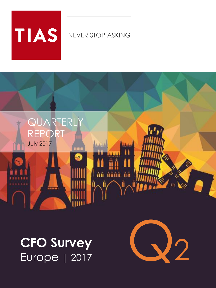# **TIAS**

# NEVER STOP ASKING



**CFO Survey** Europe | 2017

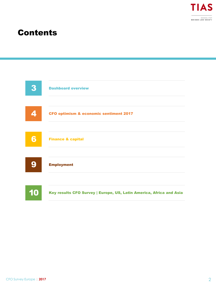

# Contents

![](_page_1_Figure_2.jpeg)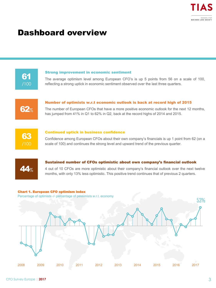# Dashboard overview

![](_page_2_Figure_2.jpeg)

#### Strong improvement in economic sentiment

The average optimism level among European CFO's is up 5 points from 56 on a scale of 100, reflecting a strong uptick in economic sentiment observed over the last three quarters.

![](_page_2_Figure_5.jpeg)

### Number of optimists w.r.t economic outlook is back at record high of 2015

The number of European CFOs that have a more positive economic outlook for the next 12 months, has jumped from 41% in Q1 to 62% in Q2, back at the record highs of 2014 and 2015.

![](_page_2_Figure_8.jpeg)

#### Continued uptick in business confidence

Confidence among European CFOs about their own company's financials is up 1 point from 62 (on a scale of 100) and continues the strong level and upward trend of the previous quarter.

![](_page_2_Picture_11.jpeg)

#### Sustained number of CFOs optimistic about own company's financial outlook

4 out of 10 CFOs are more optimistic about their company's financial outlook over the next twelve months, with only 13% less optimistic. This positive trend continues that of previous 2 quarters.

### Chart 1. European CFO optimism index

Percentage of optimists -/- percentage of pessimists w.r.t. economy

![](_page_2_Figure_16.jpeg)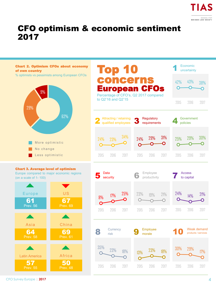![](_page_3_Picture_0.jpeg)

# CFO optimism & economic sentiment 2017

![](_page_3_Figure_2.jpeg)

CFO Survey Europe **| 2017**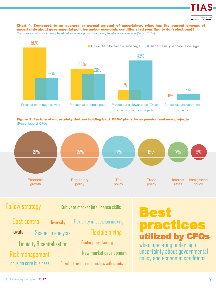![](_page_4_Picture_0.jpeg)

#### Chart 4. Compared to an average or normal amount of uncertainty, what has the current amount of uncertainty about governmental policies and/or economic conditions led your firm to do (select one)? Companies with uncertainty level below average vs uncertainty level above average (% of CFOs)

![](_page_4_Figure_2.jpeg)

Figure 1. Factors of uncertainty that are holding back CFOs' plans for expansion and new projects (Percentage of CFOs)

![](_page_4_Figure_4.jpeg)

## Follow strategy

Cultivate market intelligence skills

Focus on core business **Diversify** Scenario analysis Risk management Innovate Scenario analysis Flexible hiring Liquidity & capitalization Cost control

Flexibility in decision making Contingency planning New market development

Develop trusted relationships with clients

# Best practices utilized by CFOs

when operating under high uncertainty about governmental policy and economic conditions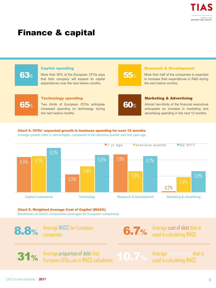# Finance & capital

![](_page_5_Figure_2.jpeg)

![](_page_5_Figure_3.jpeg)

#### Chart 6. Weighted Average Cost of Capital (WACC)

Breakdown of WACC components (averages for European companies)

8.8%

Average WACC for European companies

**6.7%** Average cost of debt that is used in calculating WACC

31% Average proportion of debt that European CFOs use in WACC calculation

Average cost of equity that is used in calculating WACC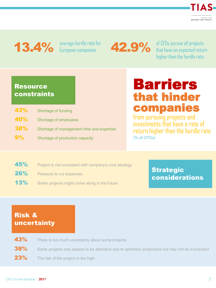![](_page_6_Picture_0.jpeg)

# 13.4% average hurdle rate for

42.9% of CFOs pursue all projects that have an expected return higher than the hurdle rate

## Resource constraints

| 43%        | Shortage of funding                       |
|------------|-------------------------------------------|
| <b>40%</b> | Shortage of employees                     |
| <b>38%</b> | Shortage of management time and expertise |
| 9%         | Shortage of production capacity           |

# Barriers that hinder companies

from pursuing projects and investments that have a rate of return higher than the hurdle rate (% of CFOs)

- 45% Project is not consistent with company's core strategy
- 26% Pressure to cut expenses
- **13%** Better projects might come along in the future

## **Strategic** considerations

# Risk & uncertainty

- 43% There is too much uncertainty about some projects
- 38% Some projects only appear to be attractive due to optimistic projections but may not be successful
- 23% The risk of the project is too high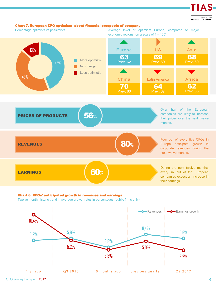SCHOOL FOR<br>BUSINESS AND SOCIETY

TIAS-

#### Chart 7. European CFO optimism about financial prospects of company

Percentage optimists vs pessimists Average level of optimism Europe, compared to major economic regions (on a scale of 1 – 100)

months.

![](_page_7_Figure_4.jpeg)

![](_page_7_Figure_5.jpeg)

#### Chart 8. CFOs' anticipated growth in revenues and earnings

Twelve month historic trend in average growth rates in percentages (public firms only)

![](_page_7_Figure_8.jpeg)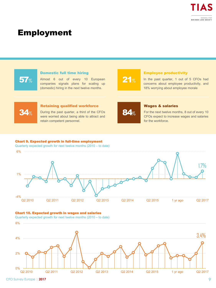# Employment

![](_page_8_Figure_2.jpeg)

Quarterly expected growth for next twelve months (2010 – to date)

![](_page_8_Figure_4.jpeg)

#### Chart 10. Expected growth in wages and salaries

Quarterly expected growth for next twelve months (2010 – to date)

![](_page_8_Figure_7.jpeg)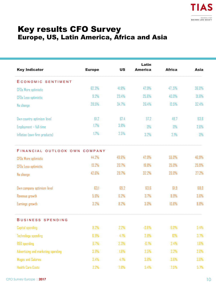# Key results CFO Survey Europe, US, Latin America, Africa and Asia

| <b>Key Indicator</b>               | <b>Europe</b> | <b>US</b> | Latin<br><b>America</b> | <b>Africa</b> | Asia  |
|------------------------------------|---------------|-----------|-------------------------|---------------|-------|
| ECONOMIC SENTIMENT                 |               |           |                         |               |       |
| <b>CFOs More optimistic</b>        | 62.3%         | 41.8%     | 47.9%                   | 47.5%         | 36.0% |
| <b>CFOs Less optimistic</b>        | 9.2%          | 23.4%     | 25.6%                   | 40.0%         | 31.6% |
| No change                          | 28.5%         | 34.7%     | 26.4%                   | 12.5%         | 32.4% |
| Own country optimism level         | 61.2          | 67.4      | 57.2                    | 49.7          | 63.6  |
| Employment - full-time             | 1.7%          | 3.8%      | 0%                      | 0%            | 2.6%  |
| Inflation (own-firm products)      | 1.7%          | 2.5%      | 3.2%                    | 2.1%          | 0%    |
| FINANCIAL OUTLOOK OWN COMPANY      |               |           |                         |               |       |
| <b>CFOs More optimistic</b>        | 44.2%         | 49.6%     | 47.9%                   | 55.0%         | 46.9% |
| <b>CFOs Less optimistic</b>        | 13.2%         | 20.7%     | 19.8%                   | 25.0%         | 25.9% |
| No change                          | 42.6%         | 29.7%     | 32.2%                   | 20.0%         | 27.2% |
| Own company optimism level         | 63.1          | 69.2      | 63.6                    | 61.9          | 68.0  |
| Revenue growth                     | 5.6%          | 6.2%      | 3.7%                    | 8.9%          | 3.6%  |
| Earnings growth                    | 3.2%          | 8.2%      | 3.0%                    | 10.6%         | 8.8%  |
| <b>BUSINESS SPENDING</b>           |               |           |                         |               |       |
| Capital spending                   | 8.2%          | 2.2%      | $-0.6%$                 | 6.0%          | 5.4%  |
| <b>Technology spending</b>         | 6.9%          | 4.1%      | 2.8%                    | 10%           | 3.7%  |
| <b>R&amp;D</b> spending            | 6.7%          | 2.3%      | $-0.1%$                 | 2.4%          | 1.6%  |
| Advertising and marketing spending | 3.9%          | 1.8%      | 2,5%                    | 2.2%          | 2.0%  |
| <b>Wages and Salaries</b>          | 3.4%          | 4.1%      | 3.8%                    | 3.6%          | 3.0%  |
| <b>Health Care Costs</b>           | 2.2%          | 7.8%      | 5.4%                    | 7.5%          | 5.7%  |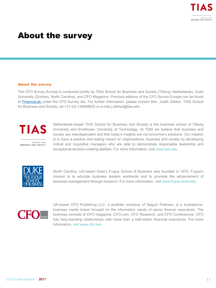# About the survey

#### About the survey

The CFO Survey Europe is conducted jointly by TIAS School for Business and Society (Tilburg, Netherlands), Duke University (Durham, North Carolina), and CFO Magazine. Previous editions of the CFO Survey Europe can be found at [FinanceLab](https://www.tias.edu/dossiers/detail/cfo-survey) under the CFO Survey tab. For further information, please contact Mrs. Judith Slikker, TIAS School for Business and Society, tel.+31-(0)-134668622 or e-mail j.slikker@tias.edu

![](_page_10_Picture_4.jpeg)

SCHOOL FOR **BUSINESS AND SOCIETY**  Netherlands-based TIAS School for Business and Society is the business school of Tilburg University and Eindhoven University of Technology. At TIAS we believe that business and society are interdependent and that today's insights are not tomorrow's solutions. Our mission is to have a positive and lasting impact on organizations, business and society by developing critical and inquisitive managers who are able to demonstrate responsible leadership and exceptional decision-making abilities. For more information, visit www.tias.edu.

![](_page_10_Picture_7.jpeg)

North Carolina, US-based Duke's Fuqua School of Business was founded in 1970. Fuqua's mission is to educate business leaders worldwide and to promote the advancement of business management through research. For more information, visit www.fuqua.duke.edu.

![](_page_10_Picture_9.jpeg)

UK-based CFO Publishing LLC, a portfolio company of Seguin Partners, is a business-tobusiness media brand focused on the information needs of senior finance executives. The business consists of CFO magazine, CFO.com, CFO Research, and CFO Conferences. CFO has long-standing relationships with more than a half-million financial executives. For more information, visit www.cfo.com.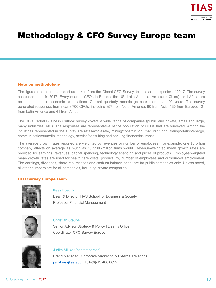# Methodology & CFO Survey Europe team

#### Note on methodology

The figures quoted in this report are taken from the Global CFO Survey for the second quarter of 2017. The survey concluded June 9, 2017. Every quarter, CFOs in Europe, the US, Latin America, Asia (and China), and Africa are polled about their economic expectations. Current quarterly records go back more than 20 years. The survey generated responses from nearly 700 CFOs, including 357 from North America, 90 from Asia, 130 from Europe, 121 from Latin America and 41 from Africa.

The CFO Global Business Outlook survey covers a wide range of companies (public and private, small and large, many industries, etc.). The responses are representative of the population of CFOs that are surveyed. Among the industries represented in the survey are retail/wholesale, mining/construction, manufacturing, transportation/energy, communications/media, technology, service/consulting and banking/finance/insurance.

The average growth rates reported are weighted by revenues or number of employees. For example, one \$5 billion company affects on average as much as 10 \$500-million firms would. Revenue-weighted mean growth rates are provided for earnings, revenues, capital spending, technology spending and prices of products. Employee-weighted mean growth rates are used for health care costs, productivity, number of employees and outsourced employment. The earnings, dividends, share repurchases and cash on balance sheet are for public companies only. Unless noted, all other numbers are for all companies, including private companies.

#### CFO Survey Europe team

![](_page_11_Picture_7.jpeg)

#### Kees Koedijk

Dean & Director TIAS School for Business & Society Professor Financial Management

![](_page_11_Picture_10.jpeg)

#### Christian Staupe

Senior Advisor Strategy & Policy | Dean's Office Coordinator CFO Survey Europe

![](_page_11_Picture_13.jpeg)

## Judith Slikker (contactperson) Brand Manager | Corporate Marketing & External Relations [j.slikker@tias.edu](mailto:j.slikker@tias.edu) | +31-(0)-13 466 8622